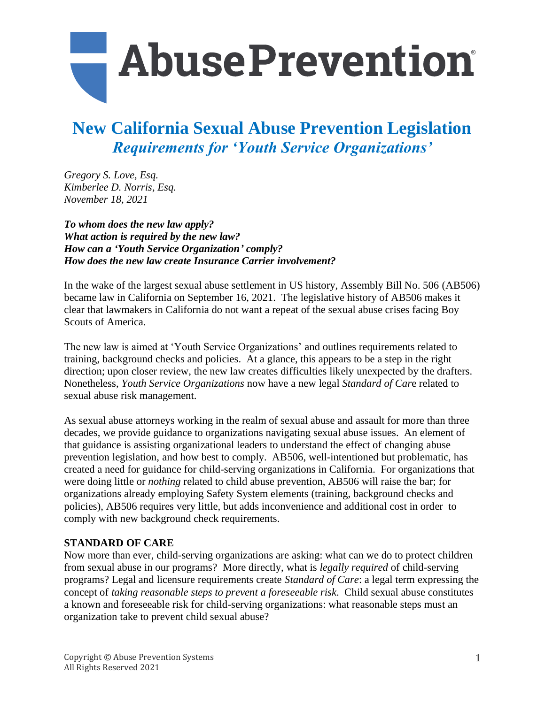

### **New California Sexual Abuse Prevention Legislation** *Requirements for 'Youth Service Organizations'*

*Gregory S. Love, Esq. Kimberlee D. Norris, Esq. November 18, 2021*

*To whom does the new law apply? What action is required by the new law? How can a 'Youth Service Organization' comply? How does the new law create Insurance Carrier involvement?*

In the wake of the largest sexual abuse settlement in US history, Assembly Bill No. 506 (AB506) became law in California on September 16, 2021. The legislative history of AB506 makes it clear that lawmakers in California do not want a repeat of the sexual abuse crises facing Boy Scouts of America.

The new law is aimed at 'Youth Service Organizations' and outlines requirements related to training, background checks and policies. At a glance, this appears to be a step in the right direction; upon closer review, the new law creates difficulties likely unexpected by the drafters. Nonetheless, *Youth Service Organizations* now have a new legal *Standard of Car*e related to sexual abuse risk management.

As sexual abuse attorneys working in the realm of sexual abuse and assault for more than three decades, we provide guidance to organizations navigating sexual abuse issues. An element of that guidance is assisting organizational leaders to understand the effect of changing abuse prevention legislation, and how best to comply. AB506, well-intentioned but problematic, has created a need for guidance for child-serving organizations in California. For organizations that were doing little or *nothing* related to child abuse prevention, AB506 will raise the bar; for organizations already employing Safety System elements (training, background checks and policies), AB506 requires very little, but adds inconvenience and additional cost in order to comply with new background check requirements.

#### **STANDARD OF CARE**

Now more than ever, child-serving organizations are asking: what can we do to protect children from sexual abuse in our programs? More directly, what is *legally required* of child-serving programs? Legal and licensure requirements create *Standard of Care*: a legal term expressing the concept of *taking reasonable steps to prevent a foreseeable risk*. Child sexual abuse constitutes a known and foreseeable risk for child-serving organizations: what reasonable steps must an organization take to prevent child sexual abuse?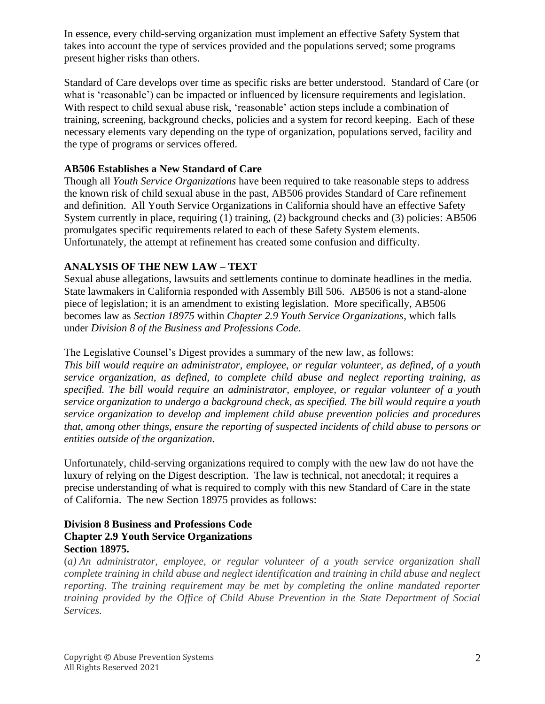In essence, every child-serving organization must implement an effective Safety System that takes into account the type of services provided and the populations served; some programs present higher risks than others.

Standard of Care develops over time as specific risks are better understood. Standard of Care (or what is 'reasonable') can be impacted or influenced by licensure requirements and legislation. With respect to child sexual abuse risk, 'reasonable' action steps include a combination of training, screening, background checks, policies and a system for record keeping. Each of these necessary elements vary depending on the type of organization, populations served, facility and the type of programs or services offered.

#### **AB506 Establishes a New Standard of Care**

Though all *Youth Service Organizations* have been required to take reasonable steps to address the known risk of child sexual abuse in the past, AB506 provides Standard of Care refinement and definition. All Youth Service Organizations in California should have an effective Safety System currently in place, requiring (1) training, (2) background checks and (3) policies: AB506 promulgates specific requirements related to each of these Safety System elements. Unfortunately, the attempt at refinement has created some confusion and difficulty.

#### **ANALYSIS OF THE NEW LAW – TEXT**

Sexual abuse allegations, lawsuits and settlements continue to dominate headlines in the media. State lawmakers in California responded with Assembly Bill 506. AB506 is not a stand-alone piece of legislation; it is an amendment to existing legislation. More specifically, AB506 becomes law as *Section 18975* within *Chapter 2.9 Youth Service Organizations*, which falls under *Division 8 of the Business and Professions Code*.

The Legislative Counsel's Digest provides a summary of the new law, as follows:

*This bill would require an administrator, employee, or regular volunteer, as defined, of a youth service organization, as defined, to complete child abuse and neglect reporting training, as specified. The bill would require an administrator, employee, or regular volunteer of a youth service organization to undergo a background check, as specified. The bill would require a youth service organization to develop and implement child abuse prevention policies and procedures that, among other things, ensure the reporting of suspected incidents of child abuse to persons or entities outside of the organization.*

Unfortunately, child-serving organizations required to comply with the new law do not have the luxury of relying on the Digest description. The law is technical, not anecdotal; it requires a precise understanding of what is required to comply with this new Standard of Care in the state of California. The new Section 18975 provides as follows:

#### **Division 8 Business and Professions Code Chapter 2.9 Youth Service Organizations Section 18975.**

(*a) An administrator, employee, or regular volunteer of a youth service organization shall complete training in child abuse and neglect identification and training in child abuse and neglect reporting. The training requirement may be met by completing the online mandated reporter training provided by the Office of Child Abuse Prevention in the State Department of Social Services.*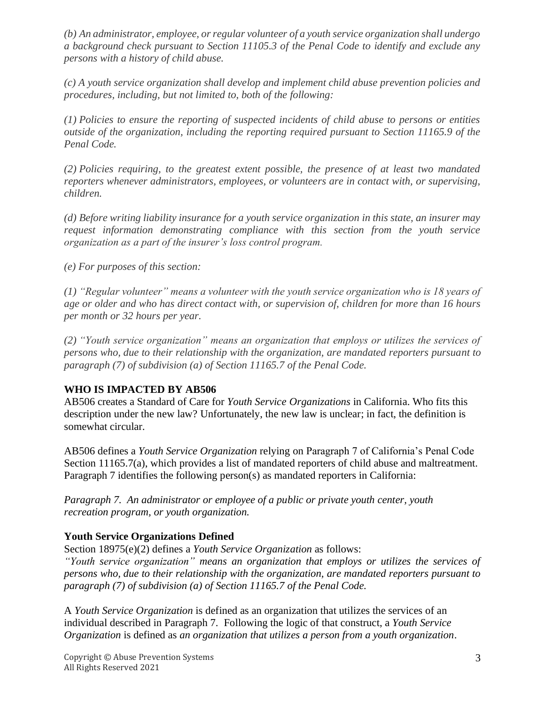*(b) An administrator, employee, or regular volunteer of a youth service organization shall undergo a background check pursuant to Section 11105.3 of the Penal Code to identify and exclude any persons with a history of child abuse.*

*(c) A youth service organization shall develop and implement child abuse prevention policies and procedures, including, but not limited to, both of the following:*

*(1) Policies to ensure the reporting of suspected incidents of child abuse to persons or entities outside of the organization, including the reporting required pursuant to Section 11165.9 of the Penal Code.*

*(2) Policies requiring, to the greatest extent possible, the presence of at least two mandated reporters whenever administrators, employees, or volunteers are in contact with, or supervising, children.*

*(d) Before writing liability insurance for a youth service organization in this state, an insurer may request information demonstrating compliance with this section from the youth service organization as a part of the insurer's loss control program.*

*(e) For purposes of this section:*

*(1) "Regular volunteer" means a volunteer with the youth service organization who is 18 years of age or older and who has direct contact with, or supervision of, children for more than 16 hours per month or 32 hours per year.*

*(2) "Youth service organization" means an organization that employs or utilizes the services of persons who, due to their relationship with the organization, are mandated reporters pursuant to paragraph (7) of subdivision (a) of Section 11165.7 of the Penal Code.*

#### **WHO IS IMPACTED BY AB506**

AB506 creates a Standard of Care for *Youth Service Organizations* in California. Who fits this description under the new law? Unfortunately, the new law is unclear; in fact, the definition is somewhat circular.

AB506 defines a *Youth Service Organization* relying on Paragraph 7 of California's Penal Code Section 11165.7(a), which provides a list of mandated reporters of child abuse and maltreatment. Paragraph 7 identifies the following person(s) as mandated reporters in California:

*Paragraph 7. An administrator or employee of a public or private youth center, youth recreation program, or youth organization.*

#### **Youth Service Organizations Defined**

Section 18975(e)(2) defines a *Youth Service Organization* as follows:

*"Youth service organization" means an organization that employs or utilizes the services of persons who, due to their relationship with the organization, are mandated reporters pursuant to paragraph (7) of subdivision (a) of Section 11165.7 of the Penal Code.*

A *Youth Service Organization* is defined as an organization that utilizes the services of an individual described in Paragraph 7. Following the logic of that construct, a *Youth Service Organization* is defined as *an organization that utilizes a person from a youth organization*.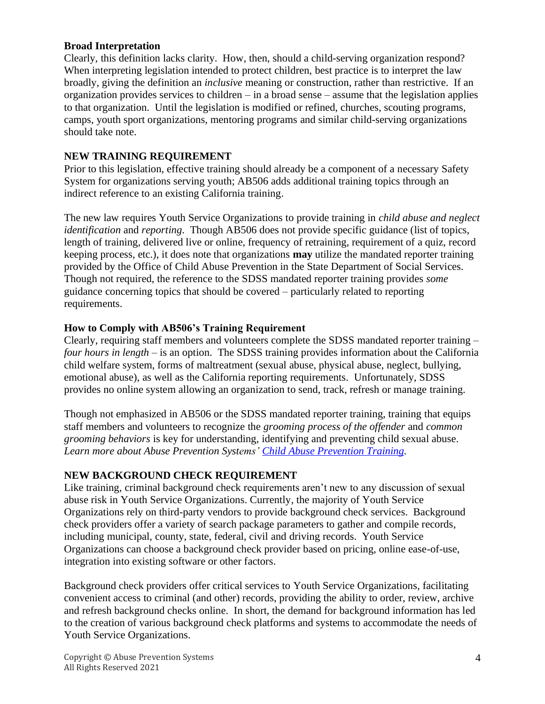#### **Broad Interpretation**

Clearly, this definition lacks clarity. How, then, should a child-serving organization respond? When interpreting legislation intended to protect children, best practice is to interpret the law broadly, giving the definition an *inclusive* meaning or construction, rather than restrictive. If an organization provides services to children – in a broad sense – assume that the legislation applies to that organization. Until the legislation is modified or refined, churches, scouting programs, camps, youth sport organizations, mentoring programs and similar child-serving organizations should take note.

#### **NEW TRAINING REQUIREMENT**

Prior to this legislation, effective training should already be a component of a necessary Safety System for organizations serving youth; AB506 adds additional training topics through an indirect reference to an existing California training.

The new law requires Youth Service Organizations to provide training in *child abuse and neglect identification* and *reporting*. Though AB506 does not provide specific guidance (list of topics, length of training, delivered live or online, frequency of retraining, requirement of a quiz, record keeping process, etc.), it does note that organizations **may** utilize the mandated reporter training provided by the Office of Child Abuse Prevention in the State Department of Social Services. Though not required, the reference to the SDSS mandated reporter training provides *some* guidance concerning topics that should be covered – particularly related to reporting requirements.

#### **How to Comply with AB506's Training Requirement**

Clearly, requiring staff members and volunteers complete the SDSS mandated reporter training – *four hours in length –* is an option. The SDSS training provides information about the California child welfare system, forms of maltreatment (sexual abuse, physical abuse, neglect, bullying, emotional abuse), as well as the California reporting requirements. Unfortunately, SDSS provides no online system allowing an organization to send, track, refresh or manage training.

Though not emphasized in AB506 or the SDSS mandated reporter training, training that equips staff members and volunteers to recognize the *grooming process of the offender* and *common grooming behaviors* is key for understanding, identifying and preventing child sexual abuse. *Learn more about Abuse Prevention Systems' [Child Abuse Prevention Training.](https://aps.abusepreventionsystems.com/newtrainings/)*

#### **NEW BACKGROUND CHECK REQUIREMENT**

Like training, criminal background check requirements aren't new to any discussion of sexual abuse risk in Youth Service Organizations. Currently, the majority of Youth Service Organizations rely on third-party vendors to provide background check services. Background check providers offer a variety of search package parameters to gather and compile records, including municipal, county, state, federal, civil and driving records. Youth Service Organizations can choose a background check provider based on pricing, online ease-of-use, integration into existing software or other factors.

Background check providers offer critical services to Youth Service Organizations, facilitating convenient access to criminal (and other) records, providing the ability to order, review, archive and refresh background checks online. In short, the demand for background information has led to the creation of various background check platforms and systems to accommodate the needs of Youth Service Organizations.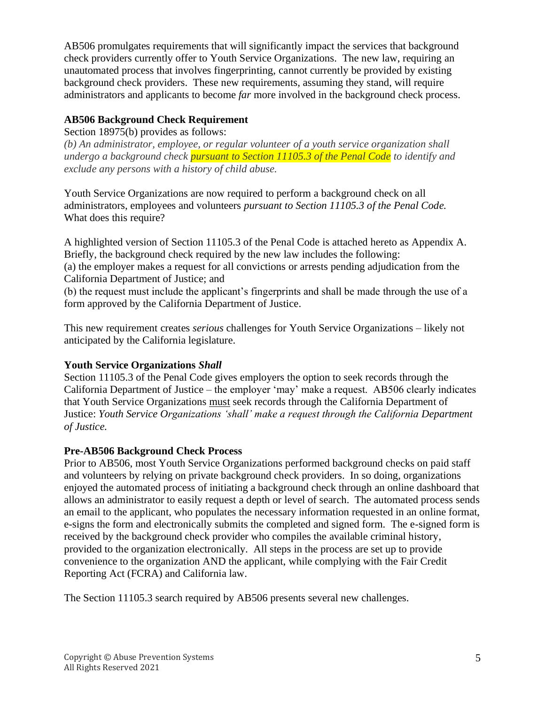AB506 promulgates requirements that will significantly impact the services that background check providers currently offer to Youth Service Organizations. The new law, requiring an unautomated process that involves fingerprinting, cannot currently be provided by existing background check providers. These new requirements, assuming they stand, will require administrators and applicants to become *far* more involved in the background check process.

#### **AB506 Background Check Requirement**

Section 18975(b) provides as follows:

*(b) An administrator, employee, or regular volunteer of a youth service organization shall undergo a background check pursuant to Section 11105.3 of the Penal Code to identify and exclude any persons with a history of child abuse.*

Youth Service Organizations are now required to perform a background check on all administrators, employees and volunteers *pursuant to Section 11105.3 of the Penal Code.*  What does this require?

A highlighted version of Section 11105.3 of the Penal Code is attached hereto as Appendix A. Briefly, the background check required by the new law includes the following: (a) the employer makes a request for all convictions or arrests pending adjudication from the California Department of Justice; and

(b) the request must include the applicant's fingerprints and shall be made through the use of a form approved by the California Department of Justice.

This new requirement creates *serious* challenges for Youth Service Organizations – likely not anticipated by the California legislature.

#### **Youth Service Organizations** *Shall*

Section 11105.3 of the Penal Code gives employers the option to seek records through the California Department of Justice – the employer 'may' make a request. AB506 clearly indicates that Youth Service Organizations must seek records through the California Department of Justice: *Youth Service Organizations 'shall' make a request through the California Department of Justice.*

#### **Pre-AB506 Background Check Process**

Prior to AB506, most Youth Service Organizations performed background checks on paid staff and volunteers by relying on private background check providers. In so doing, organizations enjoyed the automated process of initiating a background check through an online dashboard that allows an administrator to easily request a depth or level of search. The automated process sends an email to the applicant, who populates the necessary information requested in an online format, e-signs the form and electronically submits the completed and signed form. The e-signed form is received by the background check provider who compiles the available criminal history, provided to the organization electronically. All steps in the process are set up to provide convenience to the organization AND the applicant, while complying with the Fair Credit Reporting Act (FCRA) and California law.

The Section 11105.3 search required by AB506 presents several new challenges.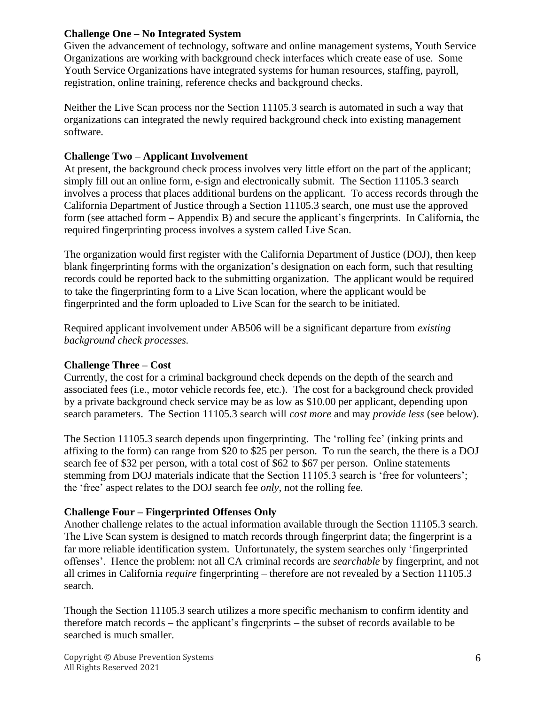#### **Challenge One – No Integrated System**

Given the advancement of technology, software and online management systems, Youth Service Organizations are working with background check interfaces which create ease of use. Some Youth Service Organizations have integrated systems for human resources, staffing, payroll, registration, online training, reference checks and background checks.

Neither the Live Scan process nor the Section 11105.3 search is automated in such a way that organizations can integrated the newly required background check into existing management software.

#### **Challenge Two – Applicant Involvement**

At present, the background check process involves very little effort on the part of the applicant; simply fill out an online form, e-sign and electronically submit. The Section 11105.3 search involves a process that places additional burdens on the applicant. To access records through the California Department of Justice through a Section 11105.3 search, one must use the approved form (see attached form – Appendix B) and secure the applicant's fingerprints. In California, the required fingerprinting process involves a system called Live Scan.

The organization would first register with the California Department of Justice (DOJ), then keep blank fingerprinting forms with the organization's designation on each form, such that resulting records could be reported back to the submitting organization. The applicant would be required to take the fingerprinting form to a Live Scan location, where the applicant would be fingerprinted and the form uploaded to Live Scan for the search to be initiated.

Required applicant involvement under AB506 will be a significant departure from *existing background check processes.*

#### **Challenge Three – Cost**

Currently, the cost for a criminal background check depends on the depth of the search and associated fees (i.e., motor vehicle records fee, etc.). The cost for a background check provided by a private background check service may be as low as \$10.00 per applicant, depending upon search parameters. The Section 11105.3 search will *cost more* and may *provide less* (see below).

The Section 11105.3 search depends upon fingerprinting. The 'rolling fee' (inking prints and affixing to the form) can range from \$20 to \$25 per person. To run the search, the there is a DOJ search fee of \$32 per person, with a total cost of \$62 to \$67 per person. Online statements stemming from DOJ materials indicate that the Section 11105.3 search is 'free for volunteers'; the 'free' aspect relates to the DOJ search fee *only*, not the rolling fee.

#### **Challenge Four – Fingerprinted Offenses Only**

Another challenge relates to the actual information available through the Section 11105.3 search. The Live Scan system is designed to match records through fingerprint data; the fingerprint is a far more reliable identification system. Unfortunately, the system searches only 'fingerprinted offenses'. Hence the problem: not all CA criminal records are *searchable* by fingerprint, and not all crimes in California *require* fingerprinting – therefore are not revealed by a Section 11105.3 search.

Though the Section 11105.3 search utilizes a more specific mechanism to confirm identity and therefore match records – the applicant's fingerprints – the subset of records available to be searched is much smaller.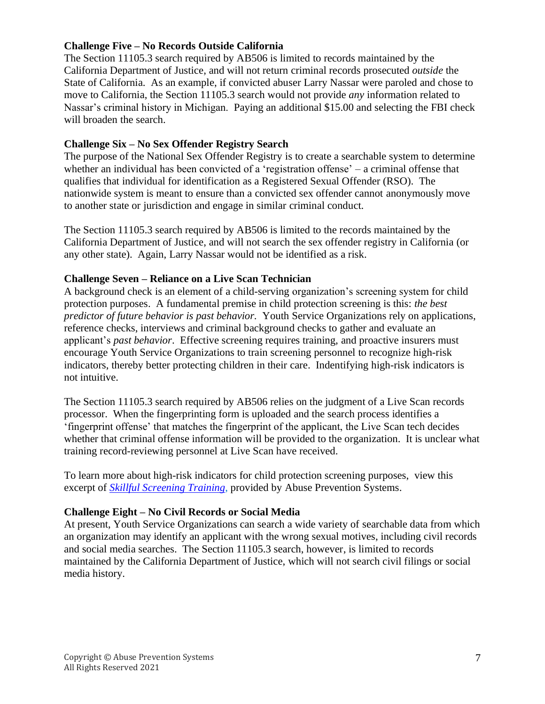#### **Challenge Five – No Records Outside California**

The Section 11105.3 search required by AB506 is limited to records maintained by the California Department of Justice, and will not return criminal records prosecuted *outside* the State of California. As an example, if convicted abuser Larry Nassar were paroled and chose to move to California, the Section 11105.3 search would not provide *any* information related to Nassar's criminal history in Michigan. Paying an additional \$15.00 and selecting the FBI check will broaden the search.

#### **Challenge Six – No Sex Offender Registry Search**

The purpose of the National Sex Offender Registry is to create a searchable system to determine whether an individual has been convicted of a 'registration offense' – a criminal offense that qualifies that individual for identification as a Registered Sexual Offender (RSO). The nationwide system is meant to ensure than a convicted sex offender cannot anonymously move to another state or jurisdiction and engage in similar criminal conduct.

The Section 11105.3 search required by AB506 is limited to the records maintained by the California Department of Justice, and will not search the sex offender registry in California (or any other state). Again, Larry Nassar would not be identified as a risk.

#### **Challenge Seven – Reliance on a Live Scan Technician**

A background check is an element of a child-serving organization's screening system for child protection purposes. A fundamental premise in child protection screening is this: *the best predictor of future behavior is past behavior.* Youth Service Organizations rely on applications, reference checks, interviews and criminal background checks to gather and evaluate an applicant's *past behavior*. Effective screening requires training, and proactive insurers must encourage Youth Service Organizations to train screening personnel to recognize high-risk indicators, thereby better protecting children in their care. Indentifying high-risk indicators is not intuitive.

The Section 11105.3 search required by AB506 relies on the judgment of a Live Scan records processor. When the fingerprinting form is uploaded and the search process identifies a 'fingerprint offense' that matches the fingerprint of the applicant, the Live Scan tech decides whether that criminal offense information will be provided to the organization. It is unclear what training record-reviewing personnel at Live Scan have received.

To learn more about high-risk indicators for child protection screening purposes, view this excerpt of *[Skillful Screening Training](https://aps.abusepreventionsystems.com/newtrainings/)*, provided by Abuse Prevention Systems.

#### **Challenge Eight – No Civil Records or Social Media**

At present, Youth Service Organizations can search a wide variety of searchable data from which an organization may identify an applicant with the wrong sexual motives, including civil records and social media searches. The Section 11105.3 search, however, is limited to records maintained by the California Department of Justice, which will not search civil filings or social media history.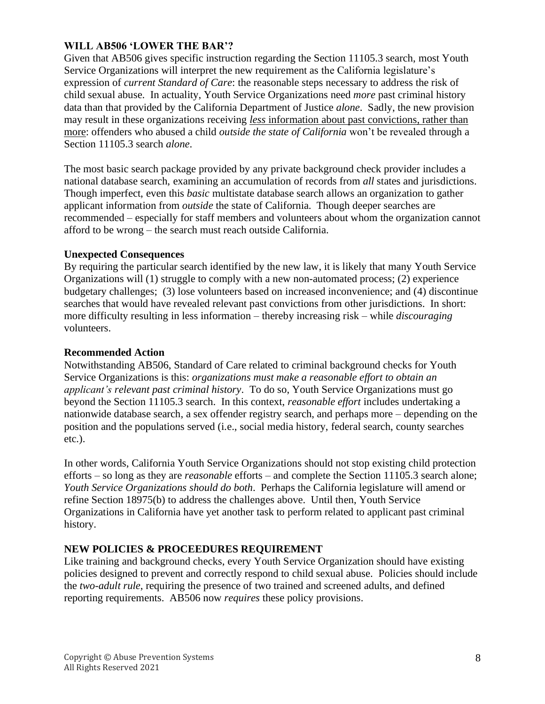#### **WILL AB506 'LOWER THE BAR'?**

Given that AB506 gives specific instruction regarding the Section 11105.3 search, most Youth Service Organizations will interpret the new requirement as the California legislature's expression of *current Standard of Care*: the reasonable steps necessary to address the risk of child sexual abuse. In actuality, Youth Service Organizations need *more* past criminal history data than that provided by the California Department of Justice *alone*. Sadly, the new provision may result in these organizations receiving *less* information about past convictions, rather than more: offenders who abused a child *outside the state of California* won't be revealed through a Section 11105.3 search *alone*.

The most basic search package provided by any private background check provider includes a national database search, examining an accumulation of records from *all* states and jurisdictions. Though imperfect, even this *basic* multistate database search allows an organization to gather applicant information from *outside* the state of California. Though deeper searches are recommended – especially for staff members and volunteers about whom the organization cannot afford to be wrong – the search must reach outside California.

#### **Unexpected Consequences**

By requiring the particular search identified by the new law, it is likely that many Youth Service Organizations will (1) struggle to comply with a new non-automated process; (2) experience budgetary challenges; (3) lose volunteers based on increased inconvenience; and (4) discontinue searches that would have revealed relevant past convictions from other jurisdictions. In short: more difficulty resulting in less information – thereby increasing risk – while *discouraging* volunteers.

#### **Recommended Action**

Notwithstanding AB506, Standard of Care related to criminal background checks for Youth Service Organizations is this: *organizations must make a reasonable effort to obtain an applicant's relevant past criminal history*. To do so, Youth Service Organizations must go beyond the Section 11105.3 search. In this context, *reasonable effort* includes undertaking a nationwide database search, a sex offender registry search, and perhaps more – depending on the position and the populations served (i.e., social media history, federal search, county searches etc.).

In other words, California Youth Service Organizations should not stop existing child protection efforts – so long as they are *reasonable* efforts – and complete the Section 11105.3 search alone; *Youth Service Organizations should do both*. Perhaps the California legislature will amend or refine Section 18975(b) to address the challenges above. Until then, Youth Service Organizations in California have yet another task to perform related to applicant past criminal history.

#### **NEW POLICIES & PROCEEDURES REQUIREMENT**

Like training and background checks, every Youth Service Organization should have existing policies designed to prevent and correctly respond to child sexual abuse. Policies should include the *two-adult rule*, requiring the presence of two trained and screened adults, and defined reporting requirements. AB506 now *requires* these policy provisions.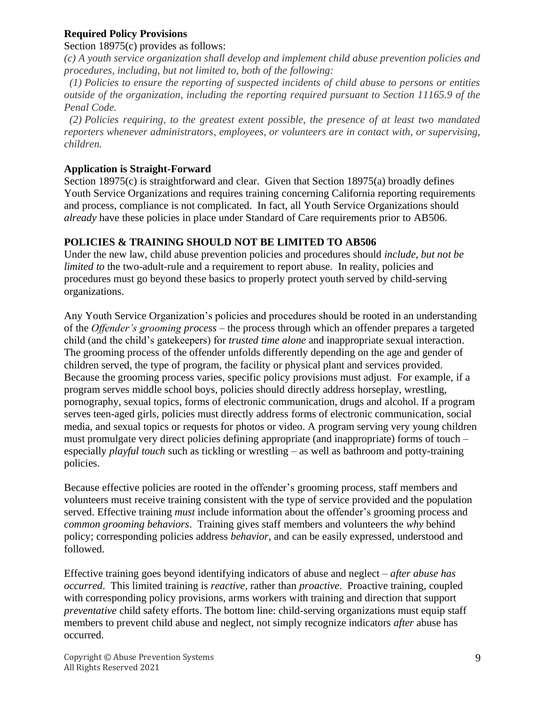#### **Required Policy Provisions**

#### Section 18975(c) provides as follows:

*(c) A youth service organization shall develop and implement child abuse prevention policies and procedures, including, but not limited to, both of the following:*

 *(1) Policies to ensure the reporting of suspected incidents of child abuse to persons or entities outside of the organization, including the reporting required pursuant to Section 11165.9 of the Penal Code.*

 *(2) Policies requiring, to the greatest extent possible, the presence of at least two mandated reporters whenever administrators, employees, or volunteers are in contact with, or supervising, children.*

#### **Application is Straight-Forward**

Section 18975(c) is straightforward and clear. Given that Section 18975(a) broadly defines Youth Service Organizations and requires training concerning California reporting requirements and process, compliance is not complicated. In fact, all Youth Service Organizations should *already* have these policies in place under Standard of Care requirements prior to AB506.

#### **POLICIES & TRAINING SHOULD NOT BE LIMITED TO AB506**

Under the new law, child abuse prevention policies and procedures should *include, but not be limited to* the two-adult-rule and a requirement to report abuse. In reality, policies and procedures must go beyond these basics to properly protect youth served by child-serving organizations.

Any Youth Service Organization's policies and procedures should be rooted in an understanding of the *Offender's grooming process* – the process through which an offender prepares a targeted child (and the child's gatekeepers) for *trusted time alone* and inappropriate sexual interaction. The grooming process of the offender unfolds differently depending on the age and gender of children served, the type of program, the facility or physical plant and services provided. Because the grooming process varies, specific policy provisions must adjust. For example, if a program serves middle school boys, policies should directly address horseplay, wrestling, pornography, sexual topics, forms of electronic communication, drugs and alcohol. If a program serves teen-aged girls, policies must directly address forms of electronic communication, social media, and sexual topics or requests for photos or video. A program serving very young children must promulgate very direct policies defining appropriate (and inappropriate) forms of touch – especially *playful touch* such as tickling or wrestling – as well as bathroom and potty-training policies.

Because effective policies are rooted in the offender's grooming process, staff members and volunteers must receive training consistent with the type of service provided and the population served. Effective training *must* include information about the offender's grooming process and *common grooming behaviors*. Training gives staff members and volunteers the *why* behind policy; corresponding policies address *behavior*, and can be easily expressed, understood and followed.

Effective training goes beyond identifying indicators of abuse and neglect – *after abuse has occurred*. This limited training is *reactive*, rather than *proactive*. Proactive training, coupled with corresponding policy provisions, arms workers with training and direction that support *preventative* child safety efforts. The bottom line: child-serving organizations must equip staff members to prevent child abuse and neglect, not simply recognize indicators *after* abuse has occurred.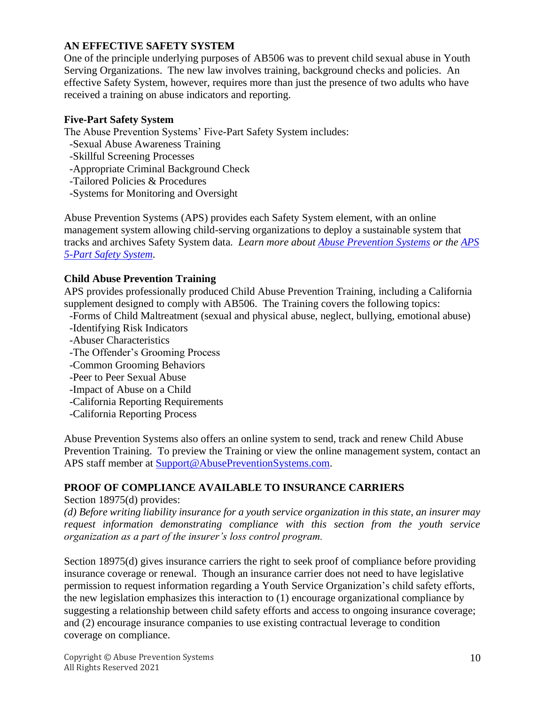#### **AN EFFECTIVE SAFETY SYSTEM**

One of the principle underlying purposes of AB506 was to prevent child sexual abuse in Youth Serving Organizations. The new law involves training, background checks and policies. An effective Safety System, however, requires more than just the presence of two adults who have received a training on abuse indicators and reporting.

#### **Five-Part Safety System**

The Abuse Prevention Systems' Five-Part Safety System includes:

- -Sexual Abuse Awareness Training
- -Skillful Screening Processes
- -Appropriate Criminal Background Check
- -Tailored Policies & Procedures
- -Systems for Monitoring and Oversight

Abuse Prevention Systems (APS) provides each Safety System element, with an online management system allowing child-serving organizations to deploy a sustainable system that tracks and archives Safety System data. *Learn more about [Abuse Prevention Systems](https://abusepreventionsystems.com/) or the [APS](https://abusepreventionsystems.com/the-safety-system/)  [5-Part Safety System.](https://abusepreventionsystems.com/the-safety-system/)*

#### **Child Abuse Prevention Training**

APS provides professionally produced Child Abuse Prevention Training, including a California supplement designed to comply with AB506. The Training covers the following topics:

- -Forms of Child Maltreatment (sexual and physical abuse, neglect, bullying, emotional abuse) -Identifying Risk Indicators
- -Abuser Characteristics
- -The Offender's Grooming Process
- -Common Grooming Behaviors
- -Peer to Peer Sexual Abuse
- -Impact of Abuse on a Child
- -California Reporting Requirements
- -California Reporting Process

Abuse Prevention Systems also offers an online system to send, track and renew Child Abuse Prevention Training. To preview the Training or view the online management system, contact an APS staff member at **Support@AbusePreventionSystems.com.** 

#### **PROOF OF COMPLIANCE AVAILABLE TO INSURANCE CARRIERS**

Section 18975(d) provides:

*(d) Before writing liability insurance for a youth service organization in this state, an insurer may request information demonstrating compliance with this section from the youth service organization as a part of the insurer's loss control program.*

Section 18975(d) gives insurance carriers the right to seek proof of compliance before providing insurance coverage or renewal. Though an insurance carrier does not need to have legislative permission to request information regarding a Youth Service Organization's child safety efforts, the new legislation emphasizes this interaction to (1) encourage organizational compliance by suggesting a relationship between child safety efforts and access to ongoing insurance coverage; and (2) encourage insurance companies to use existing contractual leverage to condition coverage on compliance.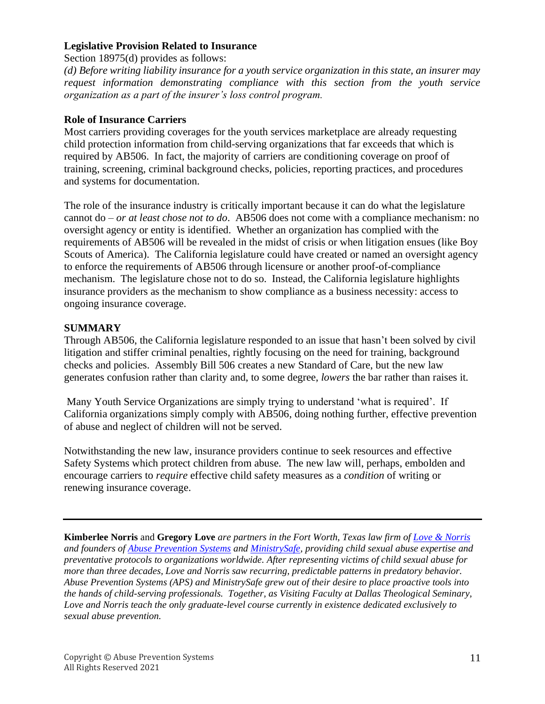#### **Legislative Provision Related to Insurance**

Section 18975(d) provides as follows:

*(d) Before writing liability insurance for a youth service organization in this state, an insurer may request information demonstrating compliance with this section from the youth service organization as a part of the insurer's loss control program.*

#### **Role of Insurance Carriers**

Most carriers providing coverages for the youth services marketplace are already requesting child protection information from child-serving organizations that far exceeds that which is required by AB506. In fact, the majority of carriers are conditioning coverage on proof of training, screening, criminal background checks, policies, reporting practices, and procedures and systems for documentation.

The role of the insurance industry is critically important because it can do what the legislature cannot do – *or at least chose not to do*. AB506 does not come with a compliance mechanism: no oversight agency or entity is identified. Whether an organization has complied with the requirements of AB506 will be revealed in the midst of crisis or when litigation ensues (like Boy Scouts of America). The California legislature could have created or named an oversight agency to enforce the requirements of AB506 through licensure or another proof-of-compliance mechanism. The legislature chose not to do so. Instead, the California legislature highlights insurance providers as the mechanism to show compliance as a business necessity: access to ongoing insurance coverage.

#### **SUMMARY**

Through AB506, the California legislature responded to an issue that hasn't been solved by civil litigation and stiffer criminal penalties, rightly focusing on the need for training, background checks and policies. Assembly Bill 506 creates a new Standard of Care, but the new law generates confusion rather than clarity and, to some degree, *lowers* the bar rather than raises it.

Many Youth Service Organizations are simply trying to understand 'what is required'. If California organizations simply comply with AB506, doing nothing further, effective prevention of abuse and neglect of children will not be served.

Notwithstanding the new law, insurance providers continue to seek resources and effective Safety Systems which protect children from abuse. The new law will, perhaps, embolden and encourage carriers to *require* effective child safety measures as a *condition* of writing or renewing insurance coverage.

**Kimberlee Norris** and **Gregory Love** *are partners in the Fort Worth, Texas law firm of [Love & Norris](http://lovenorris.com/) and founders of [Abuse Prevention Systems](http://abusepreventionsystems.com/) and [MinistrySafe,](http://ministrysafe.com/) providing child sexual abuse expertise and preventative protocols to organizations worldwide. After representing victims of child sexual abuse for more than three decades, Love and Norris saw recurring, predictable patterns in predatory behavior. Abuse Prevention Systems (APS) and MinistrySafe grew out of their desire to place proactive tools into the hands of child-serving professionals. Together, as Visiting Faculty at Dallas Theological Seminary, Love and Norris teach the only graduate-level course currently in existence dedicated exclusively to sexual abuse prevention.*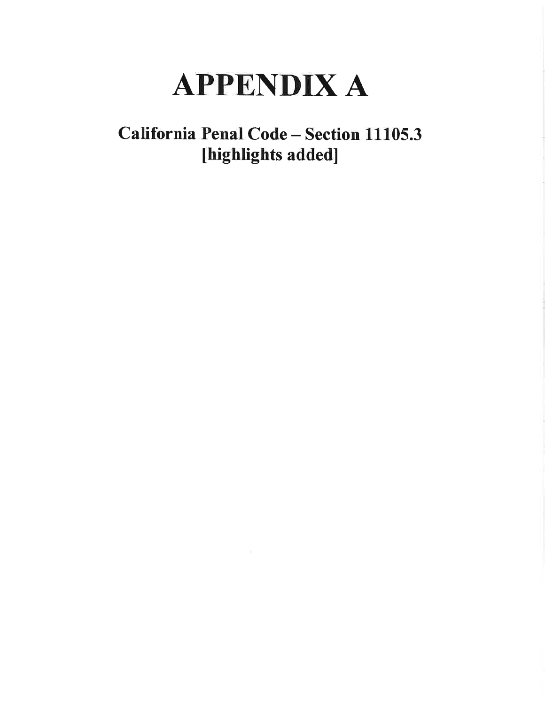# **APPENDIX A**

## California Penal Code - Section 11105.3 [highlights added]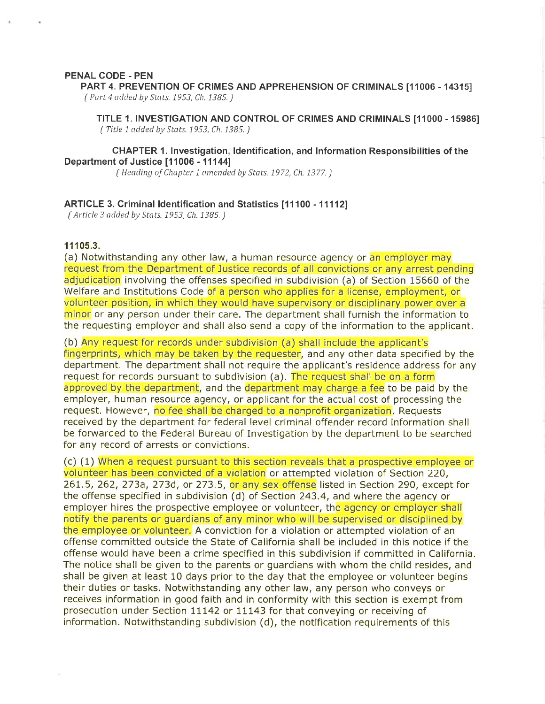#### PENAL CODE - PEN

PART 4. PREVENTION OF CRIMES AND APPREHENSION OF CRIMINALS [11006 - 14315] (Part 4 added by Stats. 1953, Ch. 1385.)

TITLE 1. INVESTIGATION AND CONTROL OF CRIMES AND CRIMINALS [11000 - 15986] (Title 1 added by Stats. 1953, Ch. 1385.)

#### **CHAPTER 1. Investigation, Identification, and Information Responsibilities of the** Department of Justice [11006 - 11144]

(Heading of Chapter 1 amended by Stats. 1972, Ch. 1377.)

#### ARTICLE 3. Criminal Identification and Statistics [11100 - 11112]

(Article 3 added by Stats. 1953, Ch. 1385.)

#### 11105.3.

(a) Notwithstanding any other law, a human resource agency or an employer may request from the Department of Justice records of all convictions or any arrest pending adjudication involving the offenses specified in subdivision (a) of Section 15660 of the Welfare and Institutions Code of a person who applies for a license, employment, or volunteer position, in which they would have supervisory or disciplinary power over a minor or any person under their care. The department shall furnish the information to the requesting employer and shall also send a copy of the information to the applicant.

(b) Any request for records under subdivision (a) shall include the applicant's fingerprints, which may be taken by the requester, and any other data specified by the department. The department shall not require the applicant's residence address for any request for records pursuant to subdivision (a). The request shall be on a form approved by the department, and the department may charge a fee to be paid by the employer, human resource agency, or applicant for the actual cost of processing the request. However, no fee shall be charged to a nonprofit organization. Requests received by the department for federal level criminal offender record information shall be forwarded to the Federal Bureau of Investigation by the department to be searched for any record of arrests or convictions.

(c) (1) When a request pursuant to this section reveals that a prospective employee or volunteer has been convicted of a violation or attempted violation of Section 220, 261.5, 262, 273a, 273d, or 273.5, or any sex offense listed in Section 290, except for the offense specified in subdivision (d) of Section 243.4, and where the agency or employer hires the prospective employee or volunteer, the agency or employer shall notify the parents or quardians of any minor who will be supervised or disciplined by the employee or volunteer. A conviction for a violation or attempted violation of an offense committed outside the State of California shall be included in this notice if the offense would have been a crime specified in this subdivision if committed in California. The notice shall be given to the parents or guardians with whom the child resides, and shall be given at least 10 days prior to the day that the employee or volunteer begins their duties or tasks. Notwithstanding any other law, any person who conveys or receives information in good faith and in conformity with this section is exempt from prosecution under Section 11142 or 11143 for that conveying or receiving of information. Notwithstanding subdivision (d), the notification requirements of this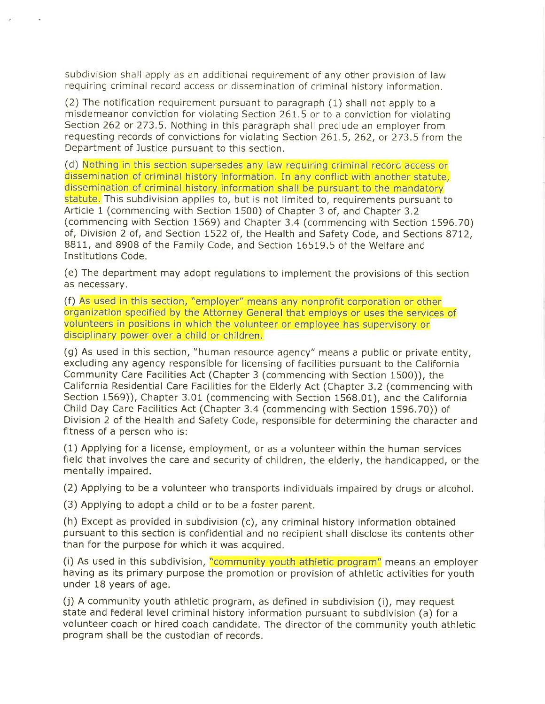subdivision shall apply as an additional requirement of any other provision of law requiring criminal record access or dissemination of criminal history information.

(2) The notification requirement pursuant to paragraph (1) shall not apply to a misdemeanor conviction for violating Section 261.5 or to a conviction for violating Section 262 or 273.5. Nothing in this paragraph shall preclude an employer from requesting records of convictions for violating Section 261.5, 262, or 273.5 from the Department of Justice pursuant to this section.

(d) Nothing in this section supersedes any law requiring criminal record access or dissemination of criminal history information. In any conflict with another statute. dissemination of criminal history information shall be pursuant to the mandatory statute. This subdivision applies to, but is not limited to, requirements pursuant to Article 1 (commencing with Section 1500) of Chapter 3 of, and Chapter 3.2 (commencing with Section 1569) and Chapter 3.4 (commencing with Section 1596.70) of, Division 2 of, and Section 1522 of, the Health and Safety Code, and Sections 8712, 8811, and 8908 of the Family Code, and Section 16519.5 of the Welfare and **Institutions Code.** 

(e) The department may adopt regulations to implement the provisions of this section as necessary.

(f) As used in this section, "employer" means any nonprofit corporation or other organization specified by the Attorney General that employs or uses the services of volunteers in positions in which the volunteer or employee has supervisory or disciplinary power over a child or children.

(g) As used in this section, "human resource agency" means a public or private entity, excluding any agency responsible for licensing of facilities pursuant to the California Community Care Facilities Act (Chapter 3 (commencing with Section 1500)), the California Residential Care Facilities for the Elderly Act (Chapter 3.2 (commencing with Section 1569)), Chapter 3.01 (commencing with Section 1568.01), and the California Child Day Care Facilities Act (Chapter 3.4 (commencing with Section 1596.70)) of Division 2 of the Health and Safety Code, responsible for determining the character and fitness of a person who is:

(1) Applying for a license, employment, or as a volunteer within the human services field that involves the care and security of children, the elderly, the handicapped, or the mentally impaired.

(2) Applying to be a volunteer who transports individuals impaired by drugs or alcohol.

(3) Applying to adopt a child or to be a foster parent.

(h) Except as provided in subdivision (c), any criminal history information obtained pursuant to this section is confidential and no recipient shall disclose its contents other than for the purpose for which it was acquired.

(i) As used in this subdivision, "community youth athletic program" means an employer having as its primary purpose the promotion or provision of athletic activities for youth under 18 years of age.

(j) A community youth athletic program, as defined in subdivision (i), may request state and federal level criminal history information pursuant to subdivision (a) for a volunteer coach or hired coach candidate. The director of the community youth athletic program shall be the custodian of records.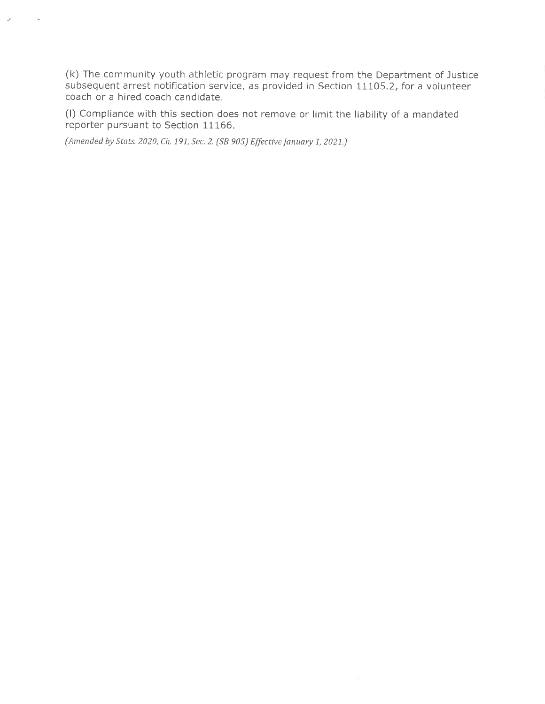(k) The community youth athletic program may request from the Department of Justice subsequent arrest notification service, as provided in Section 11105.2, for a volunteer coach or a hired coach candidate.

(I) Compliance with this section does not remove or limit the liability of a mandated reporter pursuant to Section 11166.

(Amended by Stats. 2020, Ch. 191, Sec. 2. (SB 905) Effective January 1, 2021.)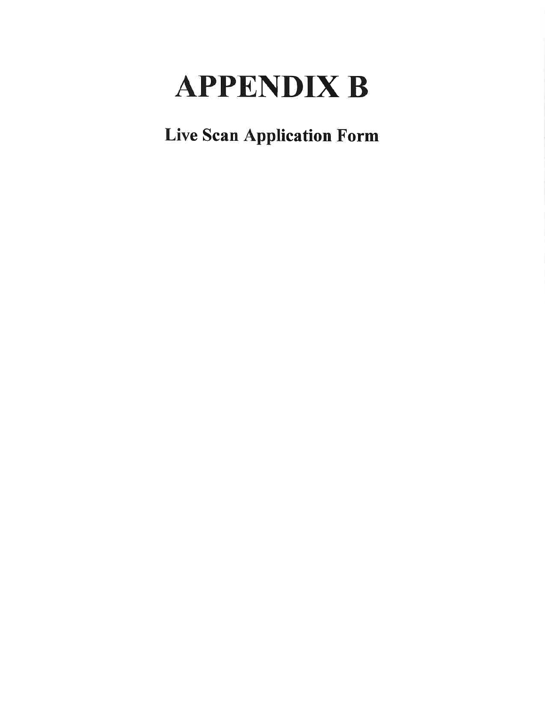# **APPENDIX B**

**Live Scan Application Form**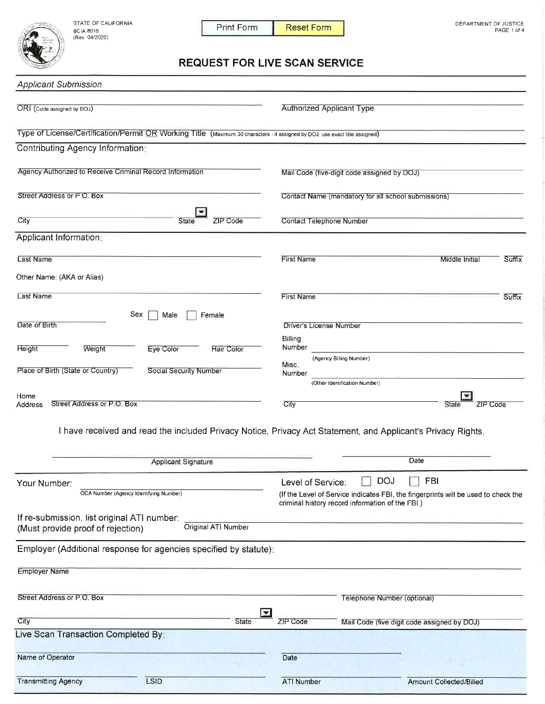STATE OF CALIFORNIA BCIA 8016<br>(Rev 04/2020)



**Transmitting Agency** 

LSID

Print Form **Reset Form** 

### **REQUEST FOR LIVE SCAN SERVICE**

| <b>Applicant Submission</b>                                                                                                  |                                                                                                                                        |
|------------------------------------------------------------------------------------------------------------------------------|----------------------------------------------------------------------------------------------------------------------------------------|
| ORI (Code assigned by DOJ)                                                                                                   | <b>Authorized Applicant Type</b>                                                                                                       |
| Type of License/Certification/Permit OR Working Title (Maximum 30 characters - if assigned by DOJ, use exact title assigned) |                                                                                                                                        |
| Contributing Agency Information:                                                                                             |                                                                                                                                        |
| Agency Authorized to Receive Criminal Record Information                                                                     | Mail Code (five-digit code assigned by DOJ)                                                                                            |
| Street Address or P.O. Box                                                                                                   | Contact Name (mandatory for all school submissions)                                                                                    |
| City<br><b>State</b><br>ZIP Code                                                                                             | <b>Contact Telephone Number</b>                                                                                                        |
| Applicant Information:                                                                                                       |                                                                                                                                        |
| Last Name                                                                                                                    | Suffix<br><b>First Name</b><br>Middle Initial                                                                                          |
| Other Name: (AKA or Alias)                                                                                                   |                                                                                                                                        |
| Last Name                                                                                                                    | <b>First Name</b><br>Suffix                                                                                                            |
| Sex<br>Male<br>Female<br>Date of Birth                                                                                       | <b>Driver's License Number</b><br>Billing                                                                                              |
| <b>Height</b><br>Weight<br>Eye Color<br><b>Hair Color</b>                                                                    | Number<br>(Agency Billing Number)                                                                                                      |
| Place of Birth (State or Country)<br><b>Social Security Number</b>                                                           | Misc.<br>Number                                                                                                                        |
|                                                                                                                              | (Other Identification Number)                                                                                                          |
| Home<br>Street Address or P.O. Box<br>Address                                                                                | City<br>State<br>ZIP Code                                                                                                              |
|                                                                                                                              | I have received and read the included Privacy Notice, Privacy Act Statement, and Applicant's Privacy Rights.                           |
| <b>Applicant Signature</b>                                                                                                   | Date                                                                                                                                   |
| Your Number:                                                                                                                 | <b>DOJ</b><br>FBI<br>Level of Service:                                                                                                 |
| OCA Number (Agency Identifying Number)                                                                                       | (If the Level of Service indicates FBI, the fingerprints will be used to check the<br>criminal history record information of the FBI.) |
| If re-submission, list original ATI number:<br>Original ATI Number<br>(Must provide proof of rejection)                      |                                                                                                                                        |
| Employer (Additional response for agencies specified by statute):                                                            |                                                                                                                                        |
| <b>Employer Name</b>                                                                                                         |                                                                                                                                        |
| Street Address or P.O. Box                                                                                                   | Telephone Number (optional)                                                                                                            |
| $\overline{\phantom{0}}$<br>City<br><b>State</b>                                                                             | ZIP Code<br>Mail Code (five digit code assigned by DOJ)                                                                                |
| Live Scan Transaction Completed By:                                                                                          |                                                                                                                                        |
| Name of Operator                                                                                                             | Date                                                                                                                                   |

**ATI Number** 

Amount Collected/Billed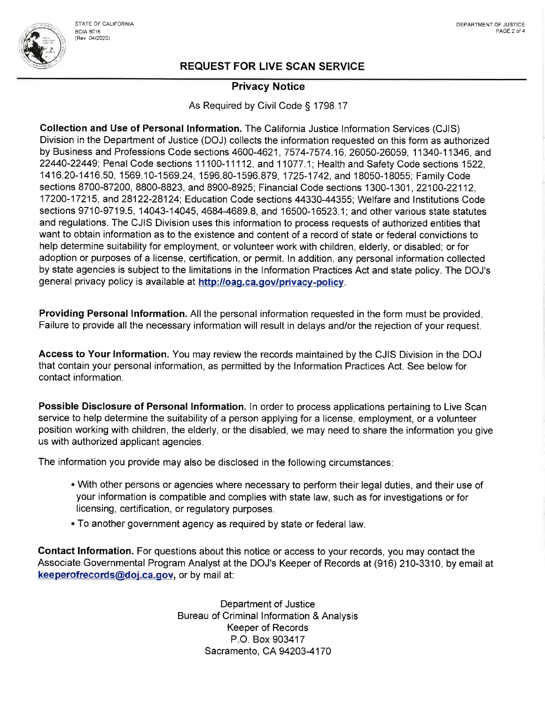

#### **Privacy Notice**

As Required by Civil Code § 1798.17

Collection and Use of Personal Information. The California Justice Information Services (CJIS) Division in the Department of Justice (DOJ) collects the information requested on this form as authorized by Business and Professions Code sections 4600-4621, 7574-7574.16, 26050-26059, 11340-11346, and 22440-22449; Penal Code sections 11100-11112, and 11077.1; Health and Safety Code sections 1522. 1416.20-1416.50, 1569.10-1569.24, 1596.80-1596.879, 1725-1742, and 18050-18055; Family Code sections 8700-87200, 8800-8823, and 8900-8925; Financial Code sections 1300-1301, 22100-22112. 17200-17215, and 28122-28124; Education Code sections 44330-44355; Welfare and Institutions Code sections 9710-9719.5, 14043-14045, 4684-4689.8, and 16500-16523.1; and other various state statutes and regulations. The CJIS Division uses this information to process requests of authorized entities that want to obtain information as to the existence and content of a record of state or federal convictions to help determine suitability for employment, or volunteer work with children, elderly, or disabled; or for adoption or purposes of a license, certification, or permit. In addition, any personal information collected by state agencies is subject to the limitations in the Information Practices Act and state policy. The DOJ's general privacy policy is available at http://oag.ca.gov/privacy-policy.

Providing Personal Information. All the personal information requested in the form must be provided. Failure to provide all the necessary information will result in delays and/or the rejection of your request.

Access to Your Information. You may review the records maintained by the CJIS Division in the DOJ that contain your personal information, as permitted by the Information Practices Act. See below for contact information.

Possible Disclosure of Personal Information. In order to process applications pertaining to Live Scan service to help determine the suitability of a person applying for a license, employment, or a volunteer position working with children, the elderly, or the disabled, we may need to share the information you give us with authorized applicant agencies.

The information you provide may also be disclosed in the following circumstances:

- With other persons or agencies where necessary to perform their legal duties, and their use of your information is compatible and complies with state law, such as for investigations or for licensing, certification, or regulatory purposes.
- . To another government agency as required by state or federal law.

Contact Information. For questions about this notice or access to your records, you may contact the Associate Governmental Program Analyst at the DOJ's Keeper of Records at (916) 210-3310, by email at keeperofrecords@doj.ca.gov, or by mail at:

> Department of Justice Bureau of Criminal Information & Analysis **Keeper of Records** P.O. Box 903417 Sacramento, CA 94203-4170